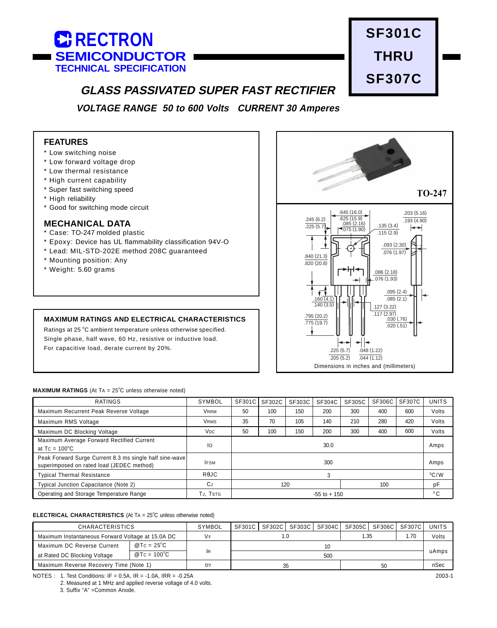



# **GLASS PASSIVATED SUPER FAST RECTIFIER**

**VOLTAGE RANGE 50 to 600 Volts CURRENT 30 Amperes**

## **FEATURES**

- \* Low switching noise
- \* Low forward voltage drop
- \* Low thermal resistance
- \* High current capability
- \* Super fast switching speed
- \* High reliability
- \* Good for switching mode circuit

### **MECHANICAL DATA**

- \* Case: TO-247 molded plastic
- \* Epoxy: Device has UL flammability classification 94V-O
- \* Lead: MIL-STD-202E method 208C guaranteed
- \* Mounting position: Any
- \* Weight: 5.60 grams

### **MAXIMUM RATINGS AND ELECTRICAL CHARACTERISTICS**

Ratings at 25 °C ambient temperature unless otherwise specified. Single phase, half wave, 60 Hz, resistive or inductive load. For capacitive load, derate current by 20%.



#### **MAXIMUM RATINGS** (At TA = 25°C unless otherwise noted)

| <b>RATINGS</b>                                                                                       | SYMBOL          | SF301C          | SF302C | SF303C | SF304C | SF305C | SF306C | SF307C       | <b>UNITS</b> |
|------------------------------------------------------------------------------------------------------|-----------------|-----------------|--------|--------|--------|--------|--------|--------------|--------------|
| Maximum Recurrent Peak Reverse Voltage                                                               | <b>VRRM</b>     | 50              | 100    | 150    | 200    | 300    | 400    | 600          | Volts        |
| Maximum RMS Voltage                                                                                  | <b>VRMS</b>     | 35              | 70     | 105    | 140    | 210    | 280    | 420          | Volts        |
| Maximum DC Blocking Voltage                                                                          | V <sub>DC</sub> | 50              | 100    | 150    | 200    | 300    | 400    | 600          | Volts        |
| Maximum Average Forward Rectified Current<br>at $Tc = 100^{\circ}C$                                  | lo              | 30.0            |        |        |        |        |        | Amps         |              |
| Peak Forward Surge Current 8.3 ms single half sine-wave<br>superimposed on rated load (JEDEC method) | <b>IFSM</b>     | 300             |        |        |        |        |        |              | Amps         |
| <b>Typical Thermal Resistance</b>                                                                    | <b>ReJC</b>     | 3               |        |        |        |        |        |              | $^0C/W$      |
| Typical Junction Capacitance (Note 2)                                                                | СJ              | 120<br>100      |        |        |        | pF     |        |              |              |
| Operating and Storage Temperature Range                                                              | TJ. TSTG        | $-55$ to $+150$ |        |        |        |        |        | $^{\circ}$ C |              |

#### **ELECTRICAL CHARACTERISTICS** (At TA = 25°C unless otherwise noted)

| <b>CHARACTERISTICS</b>                            |                       | SYMBOL | SF301C |  |  |       | SF302C   SF303C   SF304C   SF305C   SF306C   SF307C |     |       | <b>UNITS</b> |
|---------------------------------------------------|-----------------------|--------|--------|--|--|-------|-----------------------------------------------------|-----|-------|--------------|
| Maximum Instantaneous Forward Voltage at 15.0A DC |                       | ∨⊧     |        |  |  | 35. ا |                                                     | .70 | Volts |              |
| Maximum DC Reverse Current                        | @ Tc = $25^{\circ}$ C |        | 10     |  |  |       |                                                     |     |       | uAmps        |
| at Rated DC Blocking Voltage                      | $@TC = 100°C$         | lr     | 500    |  |  |       |                                                     |     |       |              |
| Maximum Reverse Recovery Time (Note 1)            |                       | tri    |        |  |  | 50    |                                                     |     | nSec  |              |

NOTES : 1. Test Conditions: IF = 0.5A, IR = -1.0A, IRR = -0.25A

2. Measured at 1 MHz and applied reverse voltage of 4.0 volts.

3. Suffix "A" =Common Anode.